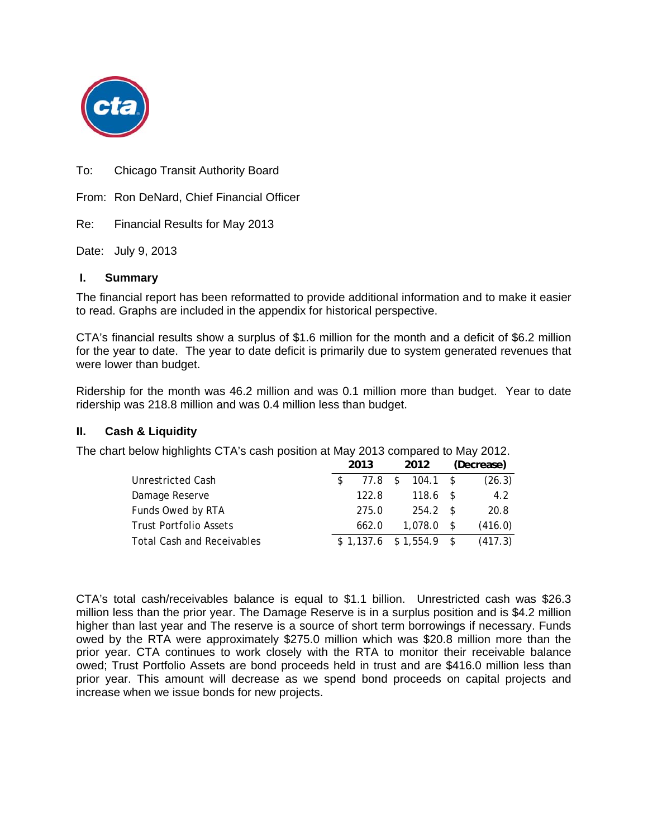

To: Chicago Transit Authority Board

From: Ron DeNard, Chief Financial Officer

Re: Financial Results for May 2013

Date: July 9, 2013

### **I. Summary**

The financial report has been reformatted to provide additional information and to make it easier to read. Graphs are included in the appendix for historical perspective.

CTA's financial results show a surplus of \$1.6 million for the month and a deficit of \$6.2 million for the year to date. The year to date deficit is primarily due to system generated revenues that were lower than budget.

Ridership for the month was 46.2 million and was 0.1 million more than budget. Year to date ridership was 218.8 million and was 0.4 million less than budget.

### **II. Cash & Liquidity**

The chart below highlights CTA's cash position at May 2013 compared to May 2012.

|                                   | 2013  | 2012                     |     | (Decrease) |
|-----------------------------------|-------|--------------------------|-----|------------|
| Unrestricted Cash                 | 77.8  | $104.1$ \$<br>S.         |     | (26.3)     |
| Damage Reserve                    | 122.8 | $118.6$ \$               |     | 4.2        |
| Funds Owed by RTA                 | 275.0 | 254.2 S                  |     | 20.8       |
| <b>Trust Portfolio Assets</b>     | 662.0 | 1,078.0                  | s s | (416.0)    |
| <b>Total Cash and Receivables</b> |       | $$1,137.6$ $$1,554.9$ \$ |     | (417.3)    |

CTA's total cash/receivables balance is equal to \$1.1 billion. Unrestricted cash was \$26.3 million less than the prior year. The Damage Reserve is in a surplus position and is \$4.2 million higher than last year and The reserve is a source of short term borrowings if necessary. Funds owed by the RTA were approximately \$275.0 million which was \$20.8 million more than the prior year. CTA continues to work closely with the RTA to monitor their receivable balance owed; Trust Portfolio Assets are bond proceeds held in trust and are \$416.0 million less than prior year. This amount will decrease as we spend bond proceeds on capital projects and increase when we issue bonds for new projects.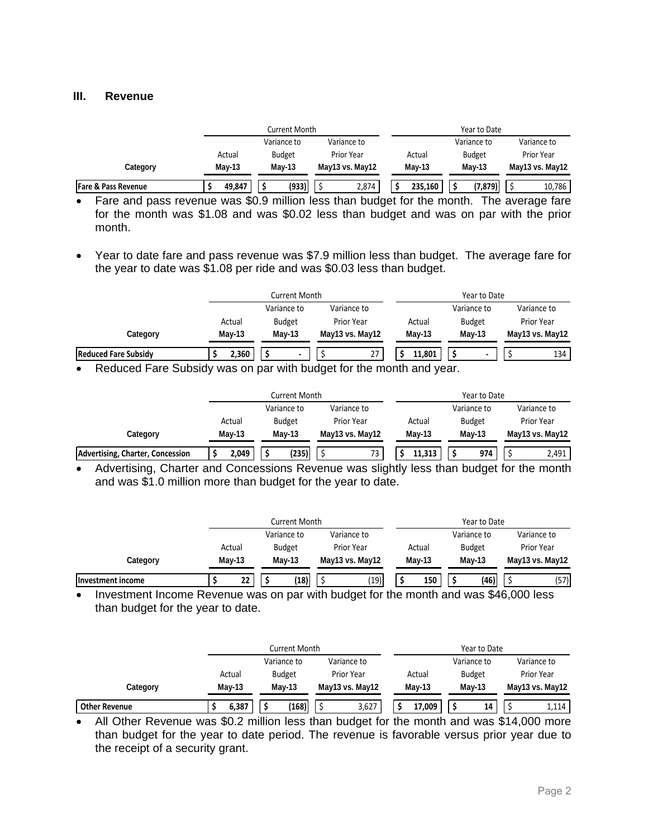#### **III. Revenue**

|                                |          | Current Month               |                   |          | Year to Date  |                   |
|--------------------------------|----------|-----------------------------|-------------------|----------|---------------|-------------------|
|                                |          | Variance to                 | Variance to       |          | Variance to   | Variance to       |
|                                | Actual   | <b>Budget</b>               | <b>Prior Year</b> |          | <b>Budget</b> | <b>Prior Year</b> |
| Category                       | $May-13$ | $May-13$<br>May13 vs. May12 |                   | $May-13$ | <b>Mav-13</b> | May13 vs. May12   |
| <b>Fare &amp; Pass Revenue</b> | 49,847   | (933)                       | 2,874             | 235,160  | (7, 879)      | 10,786            |

Fare and pass revenue was \$0.9 million less than budget for the month. The average fare for the month was \$1.08 and was \$0.02 less than budget and was on par with the prior month.

 Year to date fare and pass revenue was \$7.9 million less than budget. The average fare for the year to date was \$1.08 per ride and was \$0.03 less than budget.

|                                      |  |          | Current Month               |          |             |                 |        |        |               | Year to Date                  |             |     |          |
|--------------------------------------|--|----------|-----------------------------|----------|-------------|-----------------|--------|--------|---------------|-------------------------------|-------------|-----|----------|
|                                      |  |          | Variance to                 |          | Variance to |                 |        |        | Variance to   |                               | Variance to |     |          |
|                                      |  | Actual   | <b>Budget</b><br>Prior Year |          |             |                 | Actual |        | <b>Budget</b> | Prior Year<br>May13 vs. May12 |             |     |          |
| Category                             |  | $May-13$ |                             | $May-13$ |             | May13 vs. May12 |        | May-13 |               |                               |             |     | $May-13$ |
| <b>Reduced Fare Subsidy</b>          |  | 2,360    |                             |          |             | 27              |        | 11.801 |               |                               |             | 134 |          |
| $-$<br>$\overline{\phantom{a}}$<br>. |  |          |                             | .        |             | .               | - 1    |        |               |                               |             |     |          |

• Reduced Fare Subsidy was on par with budget for the month and year.

|                                  |          | Current Month |                 |          | Year to Date  |                 |  |  |  |  |  |
|----------------------------------|----------|---------------|-----------------|----------|---------------|-----------------|--|--|--|--|--|
|                                  |          | Variance to   | Variance to     |          | Variance to   | Variance to     |  |  |  |  |  |
|                                  | Actual   | <b>Budget</b> | Prior Year      | Actual   | <b>Budget</b> | Prior Year      |  |  |  |  |  |
| Category                         | $May-13$ | Mav-13        | May13 vs. May12 | $May-13$ | Mav-13        | May13 vs. May12 |  |  |  |  |  |
| Advertising, Charter, Concession | 2,049    | (235)         | 73              | 11,313   | 974           | 2,491           |  |  |  |  |  |

• Advertising, Charter and Concessions Revenue was slightly less than budget for the month and was \$1.0 million more than budget for the year to date.

|                   |        | Current Month              |  |               |                 |                   |  | Year to Date |             |                 |             |      |  |  |
|-------------------|--------|----------------------------|--|---------------|-----------------|-------------------|--|--------------|-------------|-----------------|-------------|------|--|--|
|                   |        | Variance to<br>Variance to |  |               |                 |                   |  |              | Variance to |                 | Variance to |      |  |  |
|                   | Actual |                            |  | <b>Budget</b> |                 | <b>Prior Year</b> |  | Actual       |             | <b>Budget</b>   | Prior Year  |      |  |  |
| Category          |        | Mav-13<br>May-13           |  |               | May13 vs. May12 | Mav-13            |  | Mav-13       |             | May13 vs. May12 |             |      |  |  |
| Investment income |        | 22                         |  | (18)          |                 | (19)              |  | 150          |             | (46)            |             | (57) |  |  |

• Investment Income Revenue was on par with budget for the month and was \$46,000 less than budget for the year to date.

|                      | Current Month |                            |               |  |                 |        |        | Year to Date |               |                 |             |  |
|----------------------|---------------|----------------------------|---------------|--|-----------------|--------|--------|--------------|---------------|-----------------|-------------|--|
|                      |               | Variance to<br>Variance to |               |  |                 |        |        |              | Variance to   |                 | Variance to |  |
|                      | Actual        |                            | <b>Budget</b> |  | Prior Year      |        | Actual |              | <b>Budget</b> | Prior Year      |             |  |
| Category             | $May-13$      |                            | Mav-13        |  | May13 vs. May12 | Mav-13 |        | $May-13$     |               | May13 vs. May12 |             |  |
| <b>Other Revenue</b> | 6,387         |                            | (168)         |  | 3,627           |        | 17,009 |              | 14            |                 | 1,114       |  |

• All Other Revenue was \$0.2 million less than budget for the month and was \$14,000 more than budget for the year to date period. The revenue is favorable versus prior year due to the receipt of a security grant.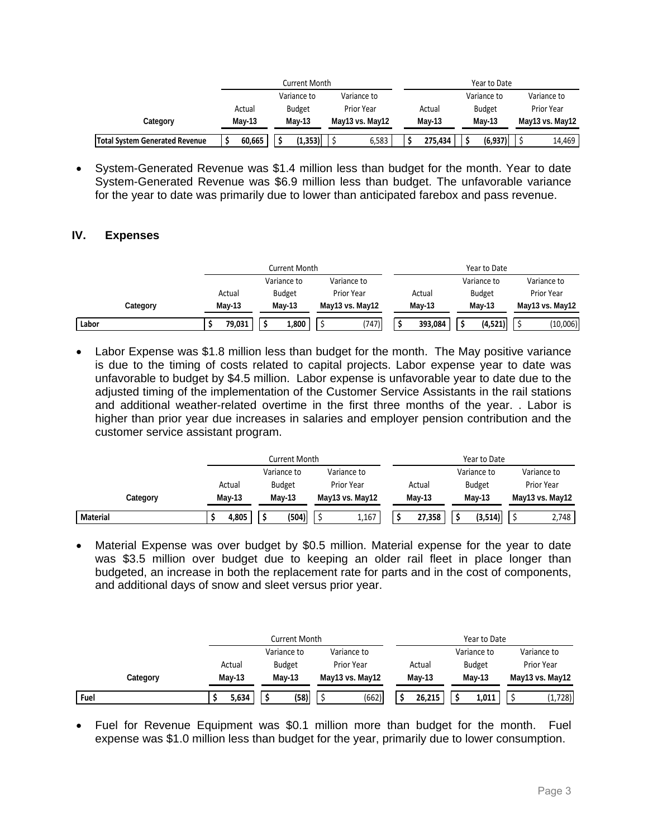|                                       |        | Current Month                  |                   | Year to Date |               |                 |  |  |  |  |
|---------------------------------------|--------|--------------------------------|-------------------|--------------|---------------|-----------------|--|--|--|--|
|                                       |        | Variance to                    | Variance to       |              | Variance to   | Variance to     |  |  |  |  |
|                                       | Actual | <b>Budget</b>                  | <b>Prior Year</b> | Actual       | <b>Budget</b> | Prior Year      |  |  |  |  |
| Category                              | Mav-13 | $May-13$                       | May13 vs. May12   | Mav-13       | <b>Mav-13</b> | May13 vs. May12 |  |  |  |  |
| <b>Total System Generated Revenue</b> | 60.665 | $^{\prime}$ 1.353) $\parallel$ | 6,583             | 275.434      | (6.937)       | 14,469          |  |  |  |  |

• System-Generated Revenue was \$1.4 million less than budget for the month. Year to date System-Generated Revenue was \$6.9 million less than budget. The unfavorable variance for the year to date was primarily due to lower than anticipated farebox and pass revenue.

## **IV. Expenses**

|          |          | Current Month |                   | Year to Date |               |                 |  |  |  |  |
|----------|----------|---------------|-------------------|--------------|---------------|-----------------|--|--|--|--|
|          |          | Variance to   | Variance to       |              | Variance to   | Variance to     |  |  |  |  |
|          | Actual   | <b>Budget</b> | <b>Prior Year</b> | Actual       | <b>Budget</b> | Prior Year      |  |  |  |  |
| Category | $May-13$ | May-13        | May13 vs. May12   | $May-13$     | <b>Mav-13</b> | May13 vs. May12 |  |  |  |  |
| Labor    | 79,031   | 1,800         | (747)             | 393,084      | (4,521)       | (10,006)        |  |  |  |  |

• Labor Expense was \$1.8 million less than budget for the month. The May positive variance is due to the timing of costs related to capital projects. Labor expense year to date was unfavorable to budget by \$4.5 million. Labor expense is unfavorable year to date due to the adjusted timing of the implementation of the Customer Service Assistants in the rail stations and additional weather-related overtime in the first three months of the year. . Labor is higher than prior year due increases in salaries and employer pension contribution and the customer service assistant program.

|          |          | Current Month |                 | Year to Date |               |                 |  |  |  |
|----------|----------|---------------|-----------------|--------------|---------------|-----------------|--|--|--|
|          |          | Variance to   | Variance to     |              | Variance to   | Variance to     |  |  |  |
|          | Actual   | <b>Budget</b> | Prior Year      | Actual       | <b>Budget</b> | Prior Year      |  |  |  |
| Category | $May-13$ | $May-13$      | May13 vs. May12 | $Mav-13$     | $May-13$      | May13 vs. May12 |  |  |  |
| Material | 4,805    | (504)         | 1,167           | 27,358       | (3, 514)      | 2,748           |  |  |  |

 Material Expense was over budget by \$0.5 million. Material expense for the year to date was \$3.5 million over budget due to keeping an older rail fleet in place longer than budgeted, an increase in both the replacement rate for parts and in the cost of components, and additional days of snow and sleet versus prior year.

|          |          | Current Month |                 | Year to Date |               |                   |  |  |  |  |  |
|----------|----------|---------------|-----------------|--------------|---------------|-------------------|--|--|--|--|--|
|          |          | Variance to   | Variance to     |              | Variance to   | Variance to       |  |  |  |  |  |
|          | Actual   | <b>Budget</b> | Prior Year      | Actual       | <b>Budget</b> | <b>Prior Year</b> |  |  |  |  |  |
| Category | $May-13$ | <b>Mav-13</b> | May13 vs. May12 | Mav-13       | $May-13$      | May13 vs. May12   |  |  |  |  |  |
| Fuel     | 5,634    | (58)          | (662)           | 26.215       | 1,011         | (1,728)           |  |  |  |  |  |

 Fuel for Revenue Equipment was \$0.1 million more than budget for the month. Fuel expense was \$1.0 million less than budget for the year, primarily due to lower consumption.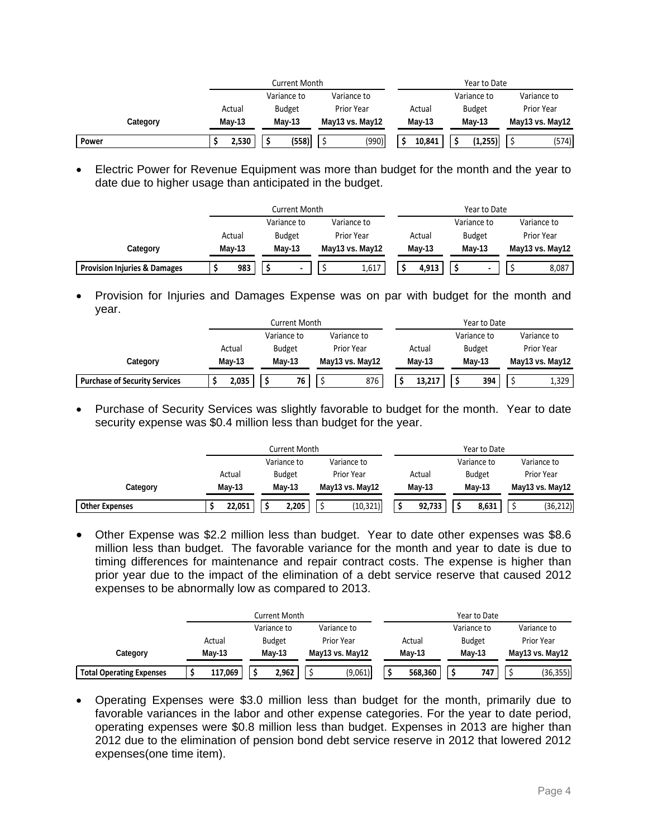|          | Current Month |       |                            |               |  |                   | Year to Date |          |  |               |                 |                   |  |
|----------|---------------|-------|----------------------------|---------------|--|-------------------|--------------|----------|--|---------------|-----------------|-------------------|--|
|          |               |       | Variance to<br>Variance to |               |  |                   |              |          |  | Variance to   |                 | Variance to       |  |
|          | Actual        |       |                            | <b>Budget</b> |  | <b>Prior Year</b> |              | Actual   |  | <b>Budget</b> |                 | <b>Prior Year</b> |  |
| Category | $May-13$      |       | $May-13$                   |               |  | May13 vs. May12   |              | $May-13$ |  | $May-13$      | May13 vs. May12 |                   |  |
| Power    |               | 2,530 |                            | (558)         |  | (990)             |              | 10,841   |  | (1,255)       |                 | (574)             |  |

 Electric Power for Revenue Equipment was more than budget for the month and the year to date due to higher usage than anticipated in the budget.

|                                         | Current Month           |                            |        |  |                   | Year to Date |        |          |               |            |                 |  |
|-----------------------------------------|-------------------------|----------------------------|--------|--|-------------------|--------------|--------|----------|---------------|------------|-----------------|--|
|                                         |                         | Variance to<br>Variance to |        |  |                   |              |        |          | Variance to   |            | Variance to     |  |
|                                         | <b>Budget</b><br>Actual |                            |        |  | <b>Prior Year</b> |              | Actual |          | <b>Budget</b> | Prior Year |                 |  |
| Category                                | $May-13$                |                            | Mav-13 |  | May13 vs. May12   | $May-13$     |        | $May-13$ |               |            | May13 vs. May12 |  |
| <b>Provision Injuries &amp; Damages</b> | 983                     |                            |        |  | 1,617             |              | 4.913  |          |               |            | 8,087           |  |

• Provision for Injuries and Damages Expense was on par with budget for the month and year.

|                                      |          | Current Month              |          |               |                 |            |          | Year to Date |             |               |                 |                   |  |
|--------------------------------------|----------|----------------------------|----------|---------------|-----------------|------------|----------|--------------|-------------|---------------|-----------------|-------------------|--|
|                                      |          | Variance to<br>Variance to |          |               |                 |            |          |              | Variance to |               | Variance to     |                   |  |
|                                      |          | Actual                     |          | <b>Budget</b> |                 | Prior Year |          | Actual       |             | <b>Budget</b> |                 | <b>Prior Year</b> |  |
| Category                             | $Mav-13$ |                            | $Mav-13$ |               | May13 vs. May12 |            | $May-13$ |              | Mav-13      |               | May13 vs. May12 |                   |  |
| <b>Purchase of Security Services</b> |          | 2,035                      |          | 76            |                 | 876        |          | 13,217       |             | 394           |                 | 1,329             |  |

• Purchase of Security Services was slightly favorable to budget for the month. Year to date security expense was \$0.4 million less than budget for the year.

|                       |                            | Current Month |                   | Year to Date |               |                   |  |  |
|-----------------------|----------------------------|---------------|-------------------|--------------|---------------|-------------------|--|--|
|                       | Variance to<br>Variance to |               |                   |              | Variance to   |                   |  |  |
|                       | Actual                     | <b>Budget</b> | <b>Prior Year</b> | Actual       | <b>Budget</b> | <b>Prior Year</b> |  |  |
| Category              | Mav-13                     | $Mav-13$      | May13 vs. May12   | Mav-13       | $Mav-13$      | May13 vs. May12   |  |  |
| <b>Other Expenses</b> | 22,051                     | 2,205         | (10, 321)         | 92,733       | 8,631         | (36, 212)         |  |  |

 Other Expense was \$2.2 million less than budget. Year to date other expenses was \$8.6 million less than budget. The favorable variance for the month and year to date is due to timing differences for maintenance and repair contract costs. The expense is higher than prior year due to the impact of the elimination of a debt service reserve that caused 2012 expenses to be abnormally low as compared to 2013.

|                                 |             |  | Current Month |             |                 |        |         |               | Year to Date |             |                 |  |
|---------------------------------|-------------|--|---------------|-------------|-----------------|--------|---------|---------------|--------------|-------------|-----------------|--|
|                                 | Variance to |  |               | Variance to |                 |        |         | Variance to   |              | Variance to |                 |  |
|                                 | Actual      |  | <b>Budget</b> | Prior Year  |                 | Actual |         | <b>Budget</b> |              | Prior Year  |                 |  |
| Category                        | $Mav-13$    |  | <b>Mav-13</b> |             | May13 vs. May12 |        | Mav-13  |               | Mav-13       |             | May13 vs. May12 |  |
| <b>Total Operating Expenses</b> | 117,069     |  | 2.962         |             | (9,061)         |        | 568.360 |               | 747          |             | (36, 355)       |  |

 Operating Expenses were \$3.0 million less than budget for the month, primarily due to favorable variances in the labor and other expense categories. For the year to date period, operating expenses were \$0.8 million less than budget. Expenses in 2013 are higher than 2012 due to the elimination of pension bond debt service reserve in 2012 that lowered 2012 expenses(one time item).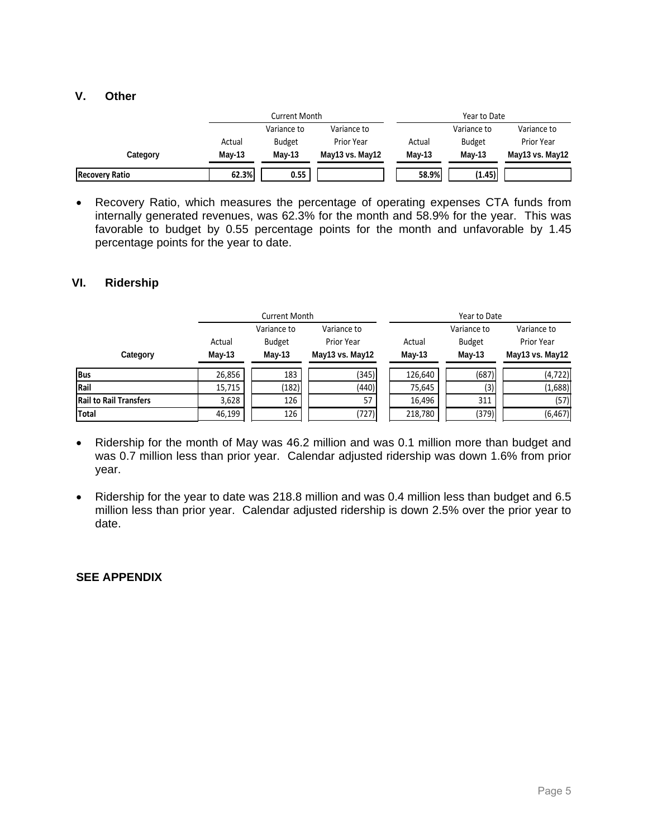## **V. Other**

|                       |        | Current Month |                   | Year to Date |               |                   |  |  |
|-----------------------|--------|---------------|-------------------|--------------|---------------|-------------------|--|--|
|                       |        | Variance to   | Variance to       |              | Variance to   | Variance to       |  |  |
|                       | Actual | <b>Budget</b> | <b>Prior Year</b> | Actual       | <b>Budget</b> | <b>Prior Year</b> |  |  |
| Category              | May-13 | Mav-13        | May13 vs. May12   | Mav-13       | $May-13$      | May13 vs. May12   |  |  |
| <b>Recovery Ratio</b> | 62.3%  | 0.55          |                   | 58.9%        | (1.45)        |                   |  |  |

 Recovery Ratio, which measures the percentage of operating expenses CTA funds from internally generated revenues, was 62.3% for the month and 58.9% for the year. This was favorable to budget by 0.55 percentage points for the month and unfavorable by 1.45 percentage points for the year to date.

### **VI. Ridership**

|                               |                    | <b>Current Month</b>                     |                                              | Year to Date     |                                          |                                              |  |  |  |
|-------------------------------|--------------------|------------------------------------------|----------------------------------------------|------------------|------------------------------------------|----------------------------------------------|--|--|--|
| Category                      | Actual<br>$May-13$ | Variance to<br><b>Budget</b><br>$May-13$ | Variance to<br>Prior Year<br>May13 vs. May12 | Actual<br>May-13 | Variance to<br><b>Budget</b><br>$May-13$ | Variance to<br>Prior Year<br>May13 vs. May12 |  |  |  |
| Bus                           | 26,856             | 183                                      | (345)                                        | 126,640          | (687)                                    | (4, 722)                                     |  |  |  |
| Rail                          | 15,715             | (182)                                    | (440)                                        | 75,645           | (3)                                      | (1,688)                                      |  |  |  |
| <b>Rail to Rail Transfers</b> | 3,628              | 126                                      | 57                                           | 16,496           | 311                                      | (57)                                         |  |  |  |
| Total                         | 46,199             | 126                                      | (727)                                        | 218,780          | (379)                                    | (6, 467)                                     |  |  |  |

- Ridership for the month of May was 46.2 million and was 0.1 million more than budget and was 0.7 million less than prior year. Calendar adjusted ridership was down 1.6% from prior year.
- Ridership for the year to date was 218.8 million and was 0.4 million less than budget and 6.5 million less than prior year. Calendar adjusted ridership is down 2.5% over the prior year to date.

### **SEE APPENDIX**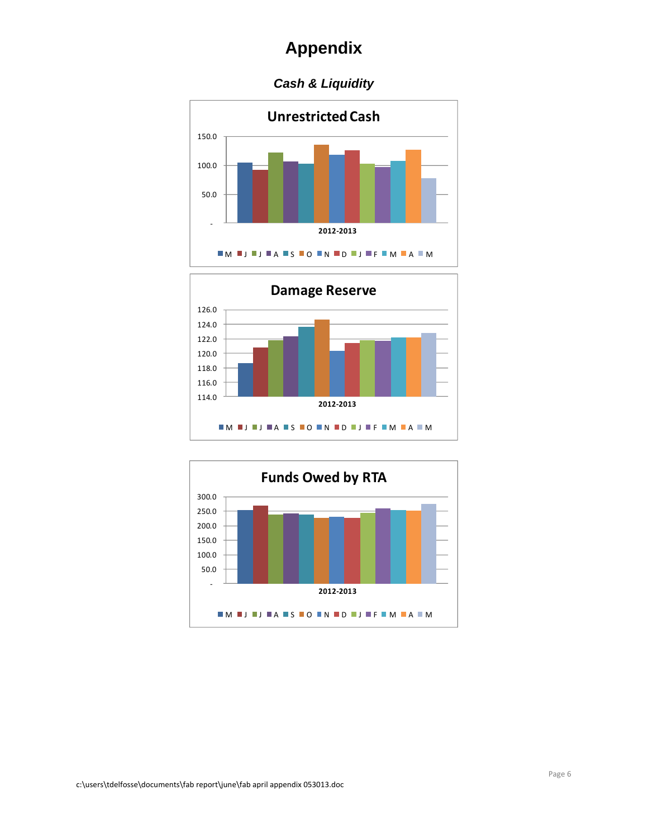## *Cash & Liquidity*





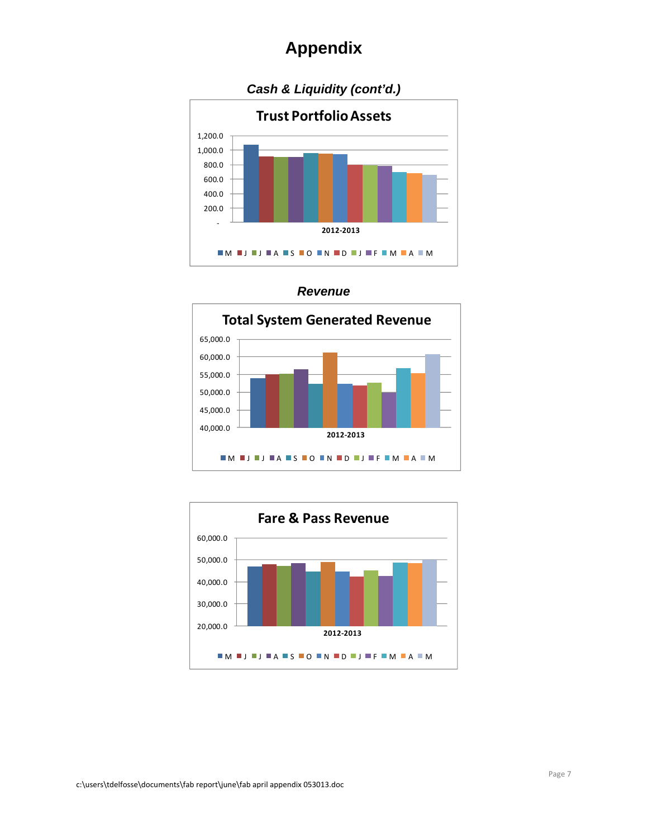





c:\users\tdelfosse\documents\fab report\june\fab april appendix 053013.doc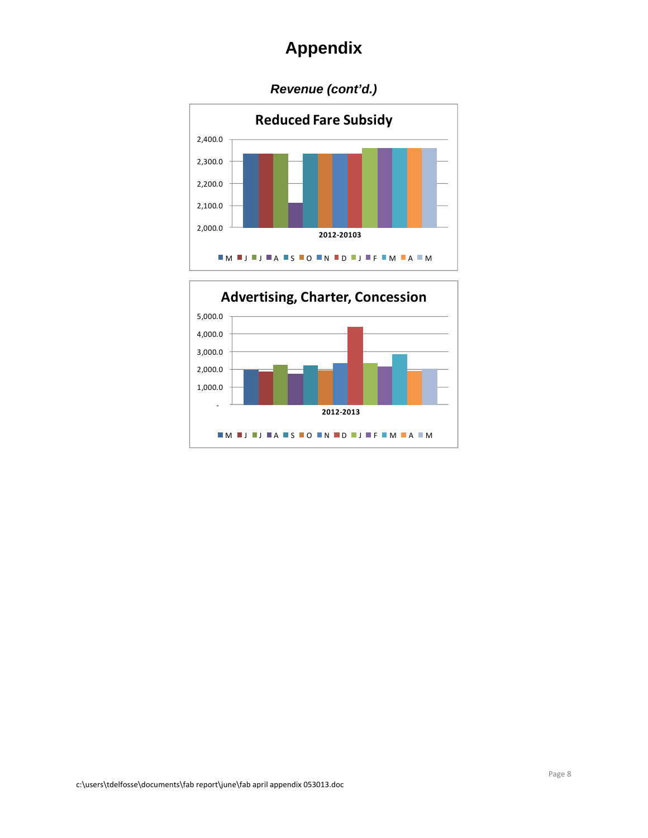## *Revenue (cont'd.)*



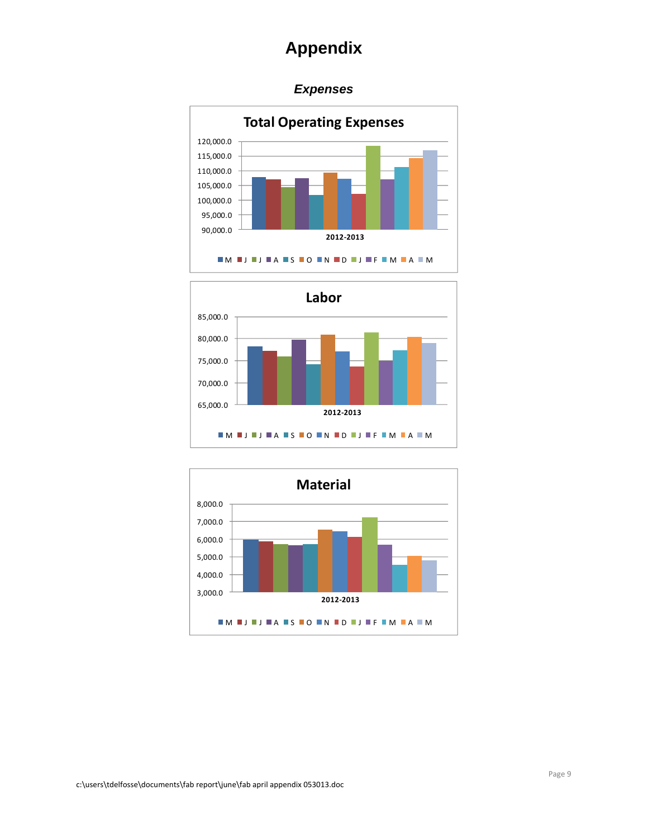## *Expenses*